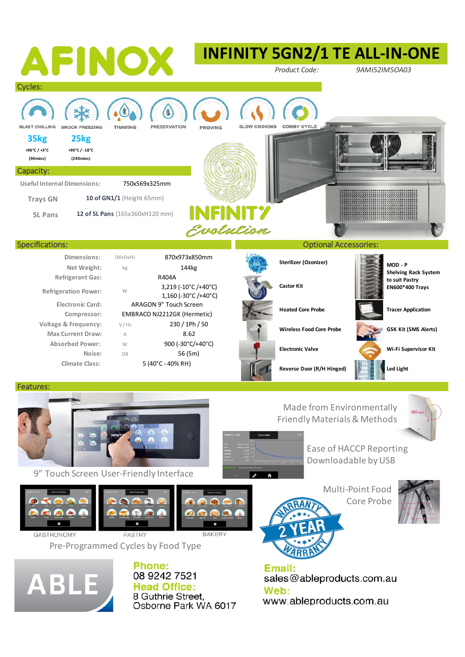

Ease of HACCP Reporting Downloadable by USB 9" Touch Screen User-Friendly Interface Multi-Point Food Core Probe**RAKER GASTRONOMY PASTRY** Pre-Programmed Cycles by Food Type Phone: Email:



08 9242 7521 **Head Office:** 8 Guthrie Street. Osborne Park WA 6017

sales@ableproducts.com.au Web: www.ableproducts.com.au